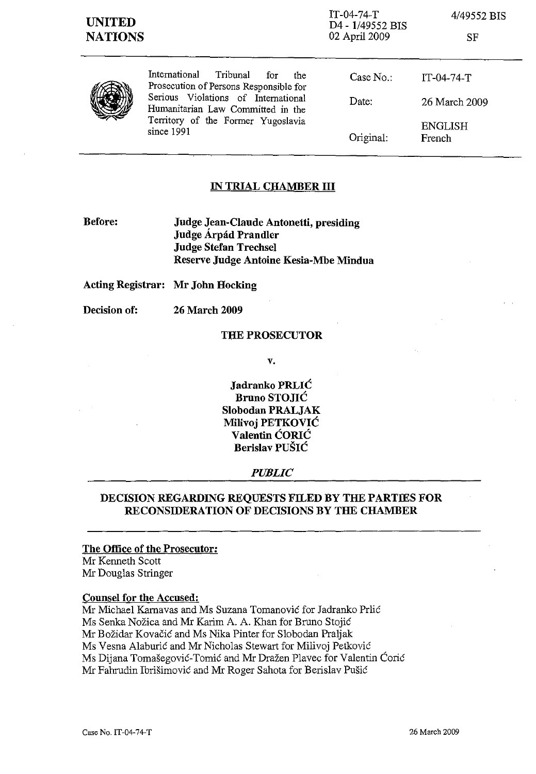| <b>UNITED</b><br><b>NATIONS</b> |                                                                                                                                                                                                                   | $IT-04-74-T$<br>D4 - 1/49552 BIS<br>02 April 2009 | 4/49552 BIS<br>SF        |
|---------------------------------|-------------------------------------------------------------------------------------------------------------------------------------------------------------------------------------------------------------------|---------------------------------------------------|--------------------------|
|                                 | International<br>Tribunal<br>for<br>the<br>Prosecution of Persons Responsible for<br>Serious Violations of International<br>Humanitarian Law Committed in the<br>Territory of the Former Yugoslavia<br>since 1991 | Case No.                                          | $IT-04-74-T$             |
|                                 |                                                                                                                                                                                                                   | Date:                                             | 26 March 2009            |
|                                 |                                                                                                                                                                                                                   | Original:                                         | <b>ENGLISH</b><br>French |

# **IN TRIAL CHAMBER III**

**Before: Judge Jean-Claude Antonetti, presiding Judge Arpad Prandler Judge Stefan Trechsel Reserve Judge Antoine Kesia-Mbe Mindua** 

**Acting Registrar: Mr John Hocking** 

**Decision of: 26 March 2009** 

# **THE PROSECUTOR**

**v.** 

**Jadranko PRLlC Bruno STOJIC Slobodan PRALJAK Milivoj PETKOVIC Valentin CORIC Berislav PUSIC** 

# *PUBLIC*

# **DECISION REGARDING REQUESTS FILED BY THE PARTIES FOR RECONSIDERATION OF DECISIONS BY THE CHAMBER**

## **The Office of the Prosecutor:**

Mr Kenneth Scott Mr Douglas Stringer

#### **Counsel for the Accused:**

Mr Michael Karnavas and Ms Suzana Tomanovic for Jadranko Prlic Ms Senka Nozica and Mr Karim A. A. Khan for Bruno Stojic Mr Bozidar Kovacic and Ms Nika Pinter for Slobodan Praljak Ms Vesna Alaburic and Mr Nicholas Stewart for Milivoj Petkovic Ms Dijana Tomašegović-Tomić and Mr Dražen Plavec for Valentin Ćorić Mr Fahrudin Ibrisimovic and Mr Roger Sahota for Berislav Pusic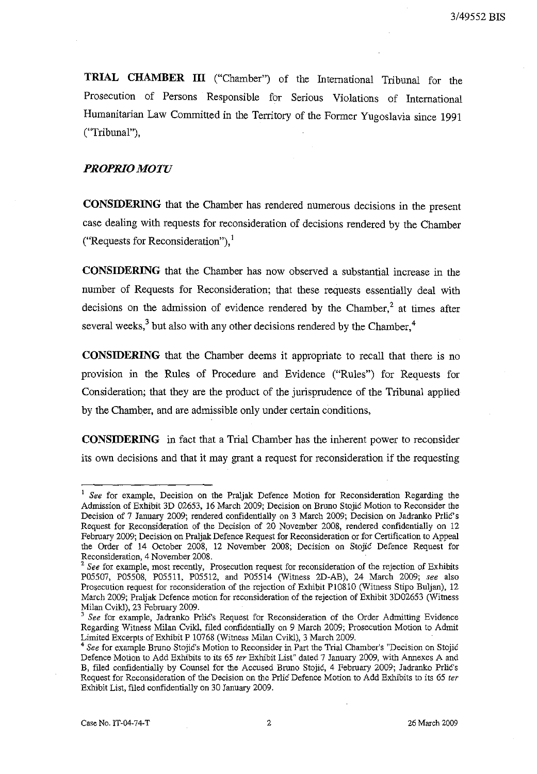**TRIAL CHAMBER III** ("Chamber") of the International Tribunal for the Prosecution of Persons Responsible for Serious Violations of International Humanitarian Law Committed in the Territory of the Former Yugoslavia since 1991 ("Tribunal"),

# *PROPRIO MOTU*

**CONSIDERING** that the Chamber has rendered numerous decisions in the present case dealing with requests for reconsideration of decisions rendered by the Chamber ("Requests for Reconsideration"), $\frac{1}{2}$ 

**CONSIDERING** that the Chamber has now observed a substantial increase in the number of Requests for Reconsideration; that these requests essentially deal with decisions on the admission of evidence rendered by the Chamber,<sup>2</sup> at times after several weeks, $3$  but also with any other decisions rendered by the Chamber, $4$ 

**CONSIDERING** that the Chamber deems it appropriate to recall that there is no provision in the Rules of Procedure and Evidence ("Rules") for Requests for Consideration; that they are the product of the jurisprudence of the Tribunal applied by the Chamber, and are admissible only under certain conditions,

**CONSIDERING** in fact that a Trial Chamber has the inherent power to reconsider its own decisions and that it may grant a request for reconsideration if the requesting

<sup>&</sup>lt;sup>1</sup> See for example, Decision on the Praljak Defence Motion for Reconsideration Regarding the Admission of Exhibit 3D 026S3, 16 March 2009; Decision on Bruno Stojic Motion to Reconsider the Decision of 7 January 2009; rendered confidentially on 3 March 2009; Decision on Jadranko Prlic's Request for Reconsideration of the Decision of 20 November 2008, rendered confidentially on 12 February 2009; Decision on Praljak Defence Request for Reconsideration or for Certification to Appeal the Order of 14 October 2008, 12 November 2008; Decision on Stojic Defence Request for Reconsideration, 4 November 2008.

<sup>&</sup>lt;sup>2</sup> See for example, most recently, Prosecution request for reconsideration of the rejection of Exhibits POSS07, POSS08, POSSll, POSSI2, and POSSI4 (Witness 2D-AB), 24 March 2009; *see* also Prosecution request for reconsideration of the rejection of Exhibit P10810 (Witness Stipo Buljan), 12 March 2009; Praljak Defence motion for reconsideration of the rejection of Exhibit 3D026S3 (Witness Milan Cvikl), 23 February 2009.

<sup>3</sup>*See* for example, Jadranko PrliC's Request for Reconsideration of the Order Admitting Evidence Regarding Witness Milan Cvikl, filed confidentially on 9 March 2009; Prosecution Motion to Admit Limited Excerpts of Exhibit P 10768 (Witness Milan Cvikl), 3 March 2009.

<sup>4</sup>*See* for example Bruno Stojic's Motion to Reconsider in Part the Trial Chamber's "Decision on Stojic Defence Motion to Add Exhibits to its 65 ter Exhibit List" dated 7 January 2009, with Annexes A and B, filed confidentially by Counsel for the Accused Bruno Stojić, 4 February 2009; Jadranko Prlić's Request for Reconsideration of the Decision on the Prlic Defence Motion to Add Exhibits to its 65 ter Exhibit List, filed confidentially on 30 January 2009.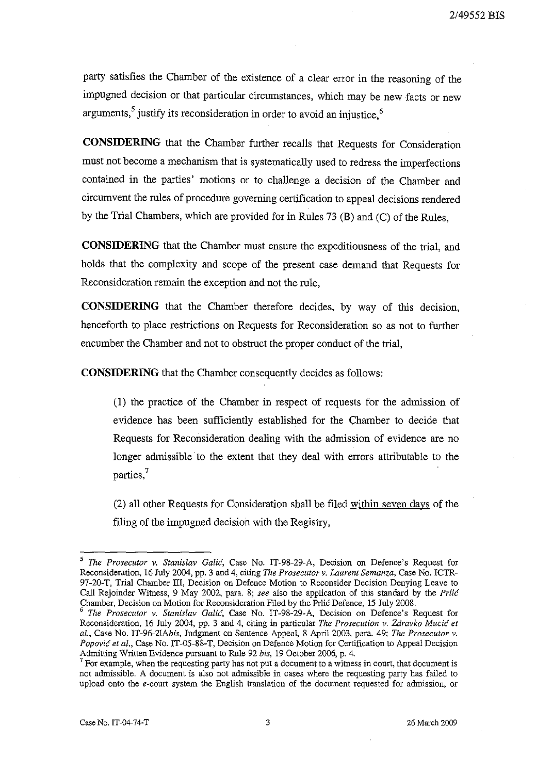party satisfies the Chamber of the existence of a clear error in the reasoning of the impugned decision or that particular circumstances, which may be new facts or new arguments,<sup>5</sup> justify its reconsideration in order to avoid an injustice,<sup>6</sup>

**CONSIDERING** that the Chamber further recalls that Requests for Consideration must not become a mechanism that is systematically used to redress the imperfections contained in the parties' motions or to challenge a decision of the Chamber and circumvent the rules of procedure governing certification to appeal decisions rendered by the Trial Chambers, which are provided for in Rules 73 (B) and (C) of the Rules,

**CONSIDERING** that the Chamber must ensure the expeditiousness of the trial, and holds that the complexity and scope of the present case demand that Requests for Reconsideration remain the exception and not the rule,

**CONSIDERING** that the Chamber therefore decides, by way of this decision, henceforth to place restrictions on Requests for Reconsideration so as not to further encumber the Chamber and not to obstruct the proper conduct of the trial,

**CONSIDERING** that the Chamber consequently decides as follows:

(I) the practice of the Chamber in respect of requests for the admission of evidence has been sufficiently established for the Chamber to decide that Requests for Reconsideration dealing with the admission of evidence are no longer admissible to the extent that they deal with errors attributable to the parties, $7$ 

(2) all other Requests for Consideration shall be filed within seven days of the filing of the impugned decision with the Registry,

*<sup>5</sup> The Prosecutor v. Stanislav Galie,* Case No. IT-98-29-A, Decision on Defence's Request for Reconsideration, 16 July 2004, pp. 3 and 4, citing *The Prosecutor v. Laurent Semanza,* Case No. ICTR-97-20-T, Trial Chamber III, Decision on Defence Motion to Reconsider Decision Denying Leave to CalI Rejoinder Witness, 9 May 2002, para. 8; *see* also the application of this standard by the *Prlie*  Chamber, Decision on Motion for Reconsideration Filed by the Prlic Defence, 15 July 2008.

*<sup>6</sup> The Prosecutor v. Stanislav Galie,* Case No. IT-98-29-A, Decision on Defence's Request for Reconsideration, 16 July 2004, pp. 3 and 4, citing in particular *The Prosecution v. Zdravko Mucic et al.,* Case No. *IT-96-21Abis,* Judgment on Sentence Appeal, 8 April 2003, para. 49; *The Prosecutor v. Popovic et al.,* Case No. IT-05-88-T, Decision on Defence Motion for Certification to Appeal Decision Admitting Written Evidence pursuant to Rule 92 *bis,* 19 October 2006, p. 4.

<sup>&</sup>lt;sup>7</sup> For example, when the requesting party has not put a document to a witness in court, that document is not admissible. A document is also not admissible in cases where the requesting party has failed to upload onto the e-court system the English translation of the document requested for admission, or